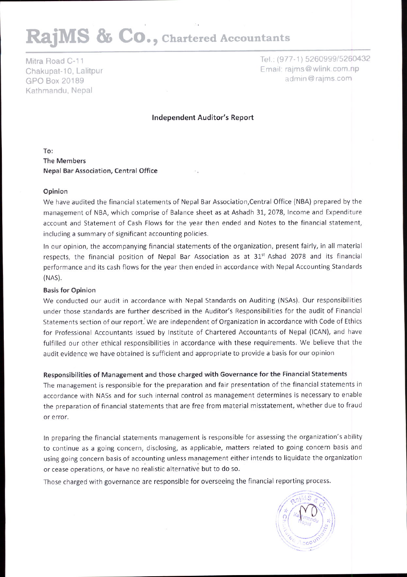# RajMS & Co., Chartered Accountants

Mitra Road C-11 Chakupat-10, Lalitpur GPO Box 20189 Kathmandu. Nepal

Tel.: (977-1) 5260999/5260432 Email: raims@wlink.com.np admin@raims.com

### Independent Auditor's Report

To: The Members Nepal Bar Association, Central Otfice

#### Opinion

We have audited the financial statements of Nepal Bar Association,Central Office (NBA) prepared by the management of NBA, which comprise of Balance sheet as at Ashadh 31, 2078, Income and Expenditure account and Statement of Cash Flows for the year then ended and Notes to the financial statement, including a summary of significant accounting policies.

In our opinion, the accompanying financial statements of the organization, present fairly, in all material respects, the financial position of Nepal Bar Association as at 31<sup>st</sup> Ashad 2078 and its financial performance and its cash flows for the Vear then ended in accordance with Nepal Accounting Standards  $(NAS)$ .

#### **Basis for Opinion**

We conducted our audit in accordance with Nepal Standards on Auditing (NSA5). Our responsibilities under those standards are further described in the Auditor's Responsibilities for the audit of Financial Statements section of our report. We are independent of Organization in accordance with Code of Ethics for Professional Accountants issued by Institute of Chartered Accountants of Nepal (ICAN), and have fulfilled our other ethical responsibilities in accordance with these requirements. we believe that the audit evidence we have obtained is sufficient and appropriate to provide a basis for our opinion

#### Responsibilities of Management and those charged with Governance for the Financial Statements

The management is responsible for the preparation and fair presentation of the financial statements in accordance with NASS and for such internal control as management determines is necessary to enable the preparation of financial statements that are free from material misstatement, whether due to fraud or error.

In preparing the financial statements management is responsible for assessing the organization's ability to continue as a going concern, disclosing, as applicable, matters related to going concern basis and using going concern basis of accounting unless management either intends to liquidate the organization or cease operations, or have no realistic alternative but to do so.

Those charged with governance are responsible for overseeing the financial reporting process.

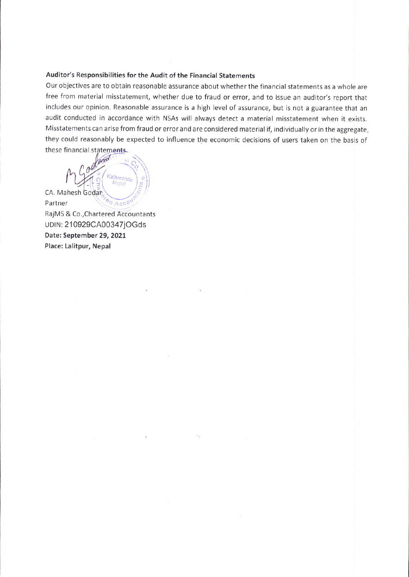## Auditor's Responsibilities for the Audit of the Financial Statements

Our objectives are to obtain reasonable assurance about whether the financial statements as a whole are free from material misstatement, whether due to fraud or error, and to issue an auditor's report that includes our opinion. Reasonable assurance is a high level of assurance, but is not a guarantee that an audit conducted in accordance with NSAs will always detect a material misstatement when it exists. Misstatements can arise from fraud or error and are considered material if, individually or in the aggregate, they could reasonably be expected to influence the economic decisions of users taken on the basis of these financial statements.

Cathmandu Nepa CA. Mahesh Godar eg Accou Partner

RajMS & Co., Chartered Accountants uDlN: 2l0929CA00347jOGds Date: September 29, 2021 Place: Lalitpur, Nepal